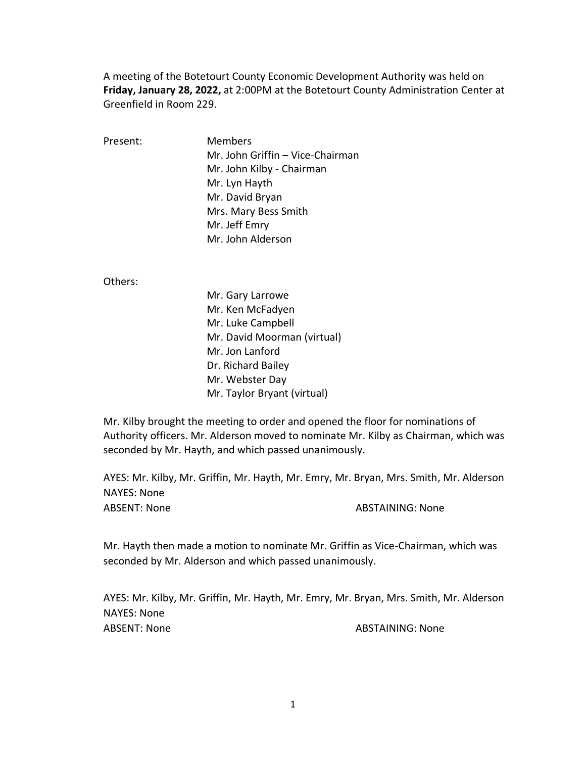A meeting of the Botetourt County Economic Development Authority was held on **Friday, January 28, 2022,** at 2:00PM at the Botetourt County Administration Center at Greenfield in Room 229.

Present: Members Mr. John Griffin – Vice-Chairman Mr. John Kilby - Chairman Mr. Lyn Hayth Mr. David Bryan Mrs. Mary Bess Smith Mr. Jeff Emry Mr. John Alderson

Others:

Mr. Gary Larrowe Mr. Ken McFadyen Mr. Luke Campbell Mr. David Moorman (virtual) Mr. Jon Lanford Dr. Richard Bailey Mr. Webster Day Mr. Taylor Bryant (virtual)

Mr. Kilby brought the meeting to order and opened the floor for nominations of Authority officers. Mr. Alderson moved to nominate Mr. Kilby as Chairman, which was seconded by Mr. Hayth, and which passed unanimously.

AYES: Mr. Kilby, Mr. Griffin, Mr. Hayth, Mr. Emry, Mr. Bryan, Mrs. Smith, Mr. Alderson NAYES: None ABSENT: None ABSTAINING: None

Mr. Hayth then made a motion to nominate Mr. Griffin as Vice-Chairman, which was seconded by Mr. Alderson and which passed unanimously.

AYES: Mr. Kilby, Mr. Griffin, Mr. Hayth, Mr. Emry, Mr. Bryan, Mrs. Smith, Mr. Alderson NAYES: None ABSENT: None ABSTAINING: None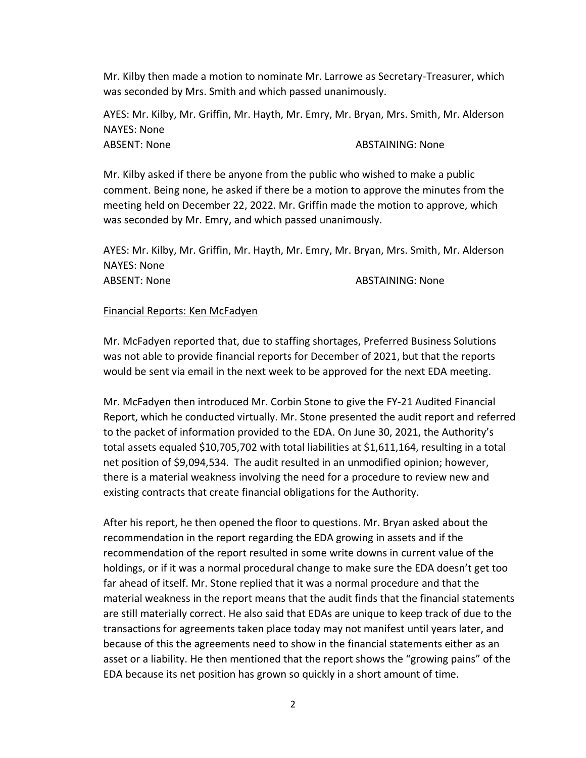Mr. Kilby then made a motion to nominate Mr. Larrowe as Secretary-Treasurer, which was seconded by Mrs. Smith and which passed unanimously.

AYES: Mr. Kilby, Mr. Griffin, Mr. Hayth, Mr. Emry, Mr. Bryan, Mrs. Smith, Mr. Alderson NAYES: None ABSENT: None ABSTAINING: None

Mr. Kilby asked if there be anyone from the public who wished to make a public comment. Being none, he asked if there be a motion to approve the minutes from the meeting held on December 22, 2022. Mr. Griffin made the motion to approve, which was seconded by Mr. Emry, and which passed unanimously.

AYES: Mr. Kilby, Mr. Griffin, Mr. Hayth, Mr. Emry, Mr. Bryan, Mrs. Smith, Mr. Alderson NAYES: None ABSENT: None ABSTAINING: None

# Financial Reports: Ken McFadyen

Mr. McFadyen reported that, due to staffing shortages, Preferred Business Solutions was not able to provide financial reports for December of 2021, but that the reports would be sent via email in the next week to be approved for the next EDA meeting.

Mr. McFadyen then introduced Mr. Corbin Stone to give the FY-21 Audited Financial Report, which he conducted virtually. Mr. Stone presented the audit report and referred to the packet of information provided to the EDA. On June 30, 2021, the Authority's total assets equaled \$10,705,702 with total liabilities at \$1,611,164, resulting in a total net position of \$9,094,534. The audit resulted in an unmodified opinion; however, there is a material weakness involving the need for a procedure to review new and existing contracts that create financial obligations for the Authority.

After his report, he then opened the floor to questions. Mr. Bryan asked about the recommendation in the report regarding the EDA growing in assets and if the recommendation of the report resulted in some write downs in current value of the holdings, or if it was a normal procedural change to make sure the EDA doesn't get too far ahead of itself. Mr. Stone replied that it was a normal procedure and that the material weakness in the report means that the audit finds that the financial statements are still materially correct. He also said that EDAs are unique to keep track of due to the transactions for agreements taken place today may not manifest until years later, and because of this the agreements need to show in the financial statements either as an asset or a liability. He then mentioned that the report shows the "growing pains" of the EDA because its net position has grown so quickly in a short amount of time.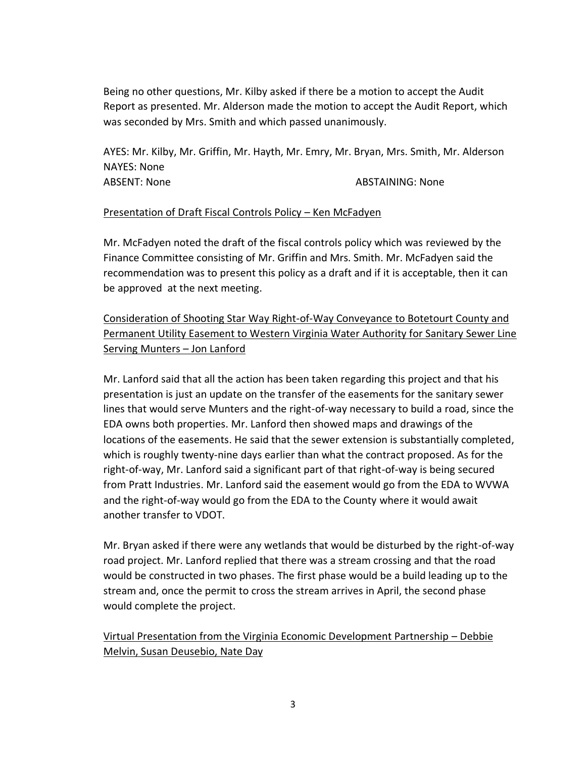Being no other questions, Mr. Kilby asked if there be a motion to accept the Audit Report as presented. Mr. Alderson made the motion to accept the Audit Report, which was seconded by Mrs. Smith and which passed unanimously.

AYES: Mr. Kilby, Mr. Griffin, Mr. Hayth, Mr. Emry, Mr. Bryan, Mrs. Smith, Mr. Alderson NAYES: None ABSENT: None ABSTAINING: None

## Presentation of Draft Fiscal Controls Policy – Ken McFadyen

Mr. McFadyen noted the draft of the fiscal controls policy which was reviewed by the Finance Committee consisting of Mr. Griffin and Mrs. Smith. Mr. McFadyen said the recommendation was to present this policy as a draft and if it is acceptable, then it can be approved at the next meeting.

Consideration of Shooting Star Way Right-of-Way Conveyance to Botetourt County and Permanent Utility Easement to Western Virginia Water Authority for Sanitary Sewer Line Serving Munters – Jon Lanford

Mr. Lanford said that all the action has been taken regarding this project and that his presentation is just an update on the transfer of the easements for the sanitary sewer lines that would serve Munters and the right-of-way necessary to build a road, since the EDA owns both properties. Mr. Lanford then showed maps and drawings of the locations of the easements. He said that the sewer extension is substantially completed, which is roughly twenty-nine days earlier than what the contract proposed. As for the right-of-way, Mr. Lanford said a significant part of that right-of-way is being secured from Pratt Industries. Mr. Lanford said the easement would go from the EDA to WVWA and the right-of-way would go from the EDA to the County where it would await another transfer to VDOT.

Mr. Bryan asked if there were any wetlands that would be disturbed by the right-of-way road project. Mr. Lanford replied that there was a stream crossing and that the road would be constructed in two phases. The first phase would be a build leading up to the stream and, once the permit to cross the stream arrives in April, the second phase would complete the project.

Virtual Presentation from the Virginia Economic Development Partnership – Debbie Melvin, Susan Deusebio, Nate Day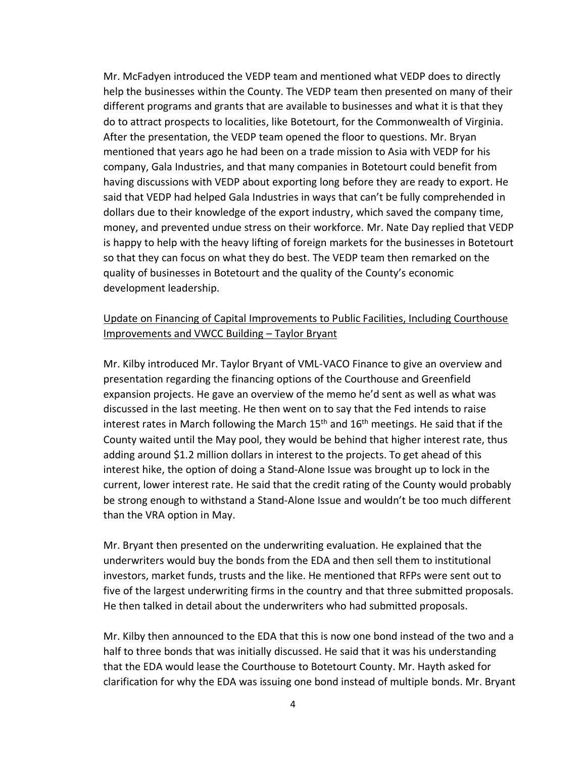Mr. McFadyen introduced the VEDP team and mentioned what VEDP does to directly help the businesses within the County. The VEDP team then presented on many of their different programs and grants that are available to businesses and what it is that they do to attract prospects to localities, like Botetourt, for the Commonwealth of Virginia. After the presentation, the VEDP team opened the floor to questions. Mr. Bryan mentioned that years ago he had been on a trade mission to Asia with VEDP for his company, Gala Industries, and that many companies in Botetourt could benefit from having discussions with VEDP about exporting long before they are ready to export. He said that VEDP had helped Gala Industries in ways that can't be fully comprehended in dollars due to their knowledge of the export industry, which saved the company time, money, and prevented undue stress on their workforce. Mr. Nate Day replied that VEDP is happy to help with the heavy lifting of foreign markets for the businesses in Botetourt so that they can focus on what they do best. The VEDP team then remarked on the quality of businesses in Botetourt and the quality of the County's economic development leadership.

# Update on Financing of Capital Improvements to Public Facilities, Including Courthouse Improvements and VWCC Building – Taylor Bryant

Mr. Kilby introduced Mr. Taylor Bryant of VML-VACO Finance to give an overview and presentation regarding the financing options of the Courthouse and Greenfield expansion projects. He gave an overview of the memo he'd sent as well as what was discussed in the last meeting. He then went on to say that the Fed intends to raise interest rates in March following the March  $15<sup>th</sup>$  and  $16<sup>th</sup>$  meetings. He said that if the County waited until the May pool, they would be behind that higher interest rate, thus adding around \$1.2 million dollars in interest to the projects. To get ahead of this interest hike, the option of doing a Stand-Alone Issue was brought up to lock in the current, lower interest rate. He said that the credit rating of the County would probably be strong enough to withstand a Stand-Alone Issue and wouldn't be too much different than the VRA option in May.

Mr. Bryant then presented on the underwriting evaluation. He explained that the underwriters would buy the bonds from the EDA and then sell them to institutional investors, market funds, trusts and the like. He mentioned that RFPs were sent out to five of the largest underwriting firms in the country and that three submitted proposals. He then talked in detail about the underwriters who had submitted proposals.

Mr. Kilby then announced to the EDA that this is now one bond instead of the two and a half to three bonds that was initially discussed. He said that it was his understanding that the EDA would lease the Courthouse to Botetourt County. Mr. Hayth asked for clarification for why the EDA was issuing one bond instead of multiple bonds. Mr. Bryant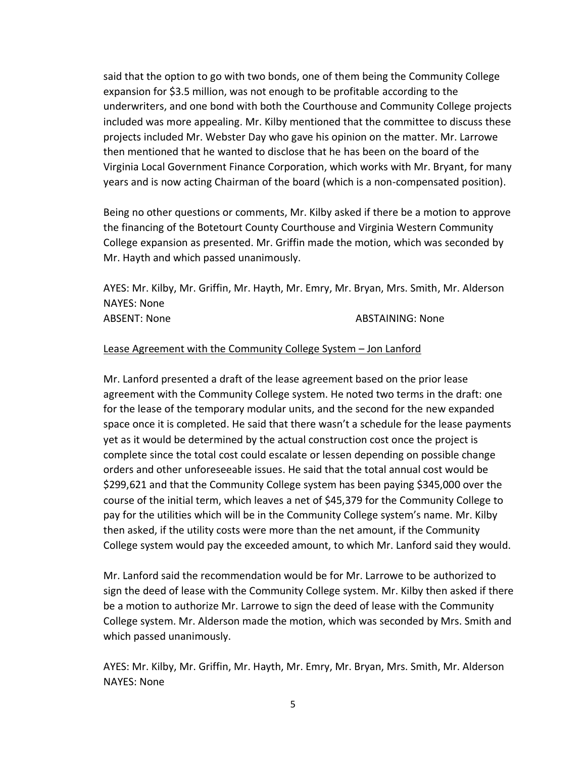said that the option to go with two bonds, one of them being the Community College expansion for \$3.5 million, was not enough to be profitable according to the underwriters, and one bond with both the Courthouse and Community College projects included was more appealing. Mr. Kilby mentioned that the committee to discuss these projects included Mr. Webster Day who gave his opinion on the matter. Mr. Larrowe then mentioned that he wanted to disclose that he has been on the board of the Virginia Local Government Finance Corporation, which works with Mr. Bryant, for many years and is now acting Chairman of the board (which is a non-compensated position).

Being no other questions or comments, Mr. Kilby asked if there be a motion to approve the financing of the Botetourt County Courthouse and Virginia Western Community College expansion as presented. Mr. Griffin made the motion, which was seconded by Mr. Hayth and which passed unanimously.

AYES: Mr. Kilby, Mr. Griffin, Mr. Hayth, Mr. Emry, Mr. Bryan, Mrs. Smith, Mr. Alderson NAYES: None ABSENT: None ABSTAINING: None

### Lease Agreement with the Community College System – Jon Lanford

Mr. Lanford presented a draft of the lease agreement based on the prior lease agreement with the Community College system. He noted two terms in the draft: one for the lease of the temporary modular units, and the second for the new expanded space once it is completed. He said that there wasn't a schedule for the lease payments yet as it would be determined by the actual construction cost once the project is complete since the total cost could escalate or lessen depending on possible change orders and other unforeseeable issues. He said that the total annual cost would be \$299,621 and that the Community College system has been paying \$345,000 over the course of the initial term, which leaves a net of \$45,379 for the Community College to pay for the utilities which will be in the Community College system's name. Mr. Kilby then asked, if the utility costs were more than the net amount, if the Community College system would pay the exceeded amount, to which Mr. Lanford said they would.

Mr. Lanford said the recommendation would be for Mr. Larrowe to be authorized to sign the deed of lease with the Community College system. Mr. Kilby then asked if there be a motion to authorize Mr. Larrowe to sign the deed of lease with the Community College system. Mr. Alderson made the motion, which was seconded by Mrs. Smith and which passed unanimously.

AYES: Mr. Kilby, Mr. Griffin, Mr. Hayth, Mr. Emry, Mr. Bryan, Mrs. Smith, Mr. Alderson NAYES: None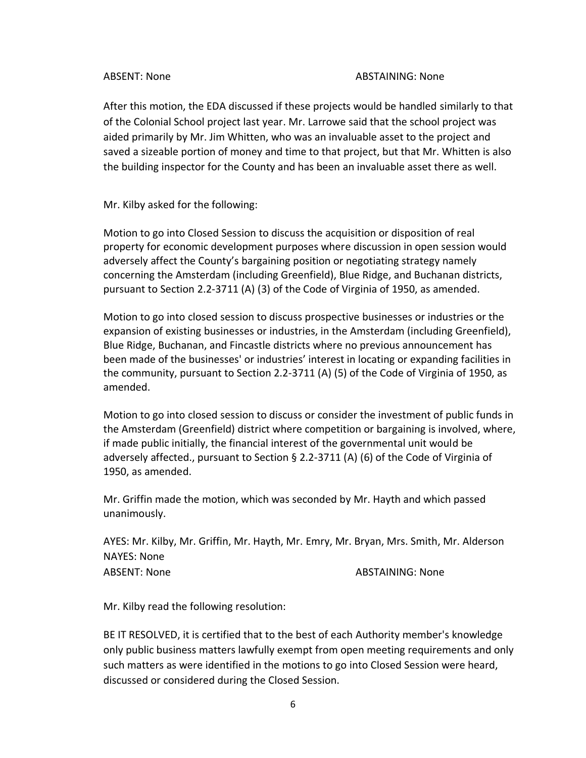#### ABSENT: None ABSTAINING: None

After this motion, the EDA discussed if these projects would be handled similarly to that of the Colonial School project last year. Mr. Larrowe said that the school project was aided primarily by Mr. Jim Whitten, who was an invaluable asset to the project and saved a sizeable portion of money and time to that project, but that Mr. Whitten is also the building inspector for the County and has been an invaluable asset there as well.

Mr. Kilby asked for the following:

Motion to go into Closed Session to discuss the acquisition or disposition of real property for economic development purposes where discussion in open session would adversely affect the County's bargaining position or negotiating strategy namely concerning the Amsterdam (including Greenfield), Blue Ridge, and Buchanan districts, pursuant to Section 2.2-3711 (A) (3) of the Code of Virginia of 1950, as amended.

Motion to go into closed session to discuss prospective businesses or industries or the expansion of existing businesses or industries, in the Amsterdam (including Greenfield), Blue Ridge, Buchanan, and Fincastle districts where no previous announcement has been made of the businesses' or industries' interest in locating or expanding facilities in the community, pursuant to Section 2.2-3711 (A) (5) of the Code of Virginia of 1950, as amended.

Motion to go into closed session to discuss or consider the investment of public funds in the Amsterdam (Greenfield) district where competition or bargaining is involved, where, if made public initially, the financial interest of the governmental unit would be adversely affected., pursuant to Section § 2.2-3711 (A) (6) of the Code of Virginia of 1950, as amended.

Mr. Griffin made the motion, which was seconded by Mr. Hayth and which passed unanimously.

AYES: Mr. Kilby, Mr. Griffin, Mr. Hayth, Mr. Emry, Mr. Bryan, Mrs. Smith, Mr. Alderson NAYES: None ABSENT: None ABSTAINING: None

Mr. Kilby read the following resolution:

BE IT RESOLVED, it is certified that to the best of each Authority member's knowledge only public business matters lawfully exempt from open meeting requirements and only such matters as were identified in the motions to go into Closed Session were heard, discussed or considered during the Closed Session.